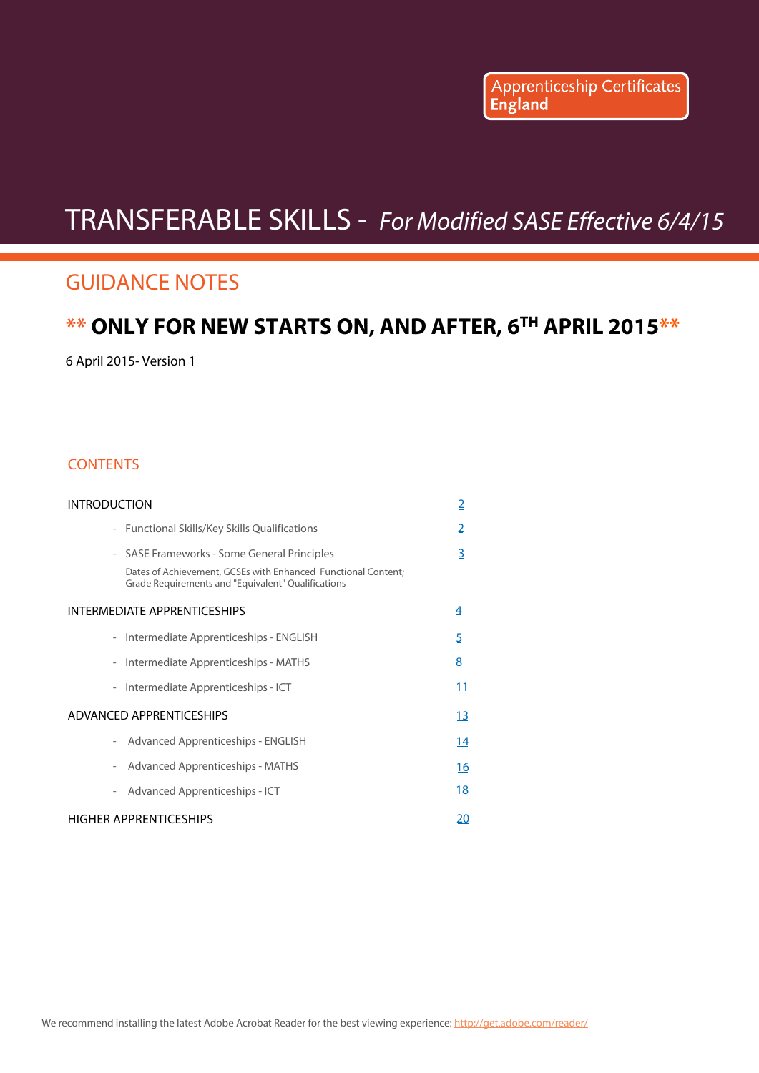Apprenticeship Certificates

# <span id="page-0-0"></span>TRANSFERABLE SKILLS - For Modified SASE Effective 6/4/15

## GUIDANCE NOTES

## **\*\* ONLY FOR NEW STARTS ON, AND AFTER, 6TH APRIL 2015\*\***

6 April 2015- Version 1

#### **CONTENTS**

| introduction                                                                                                                                                       | $\overline{2}$ |
|--------------------------------------------------------------------------------------------------------------------------------------------------------------------|----------------|
| - Functional Skills/Key Skills Qualifications                                                                                                                      | 2              |
| - SASE Frameworks - Some General Principles<br>Dates of Achievement, GCSEs with Enhanced Functional Content;<br>Grade Requirements and "Equivalent" Qualifications | 3              |
| INTERMEDIATE APPRENTICESHIPS                                                                                                                                       | 4              |
| Intermediate Apprenticeships - ENGLISH                                                                                                                             | 5              |
| Intermediate Apprenticeships - MATHS<br>$\overline{\phantom{a}}$                                                                                                   | 8              |
| Intermediate Apprenticeships - ICT<br>$\overline{\phantom{a}}$                                                                                                     | 11             |
| ADVANCED APPRENTICESHIPS                                                                                                                                           | <u> 13</u>     |
| Advanced Apprenticeships - ENGLISH                                                                                                                                 | <u>14</u>      |
| Advanced Apprenticeships - MATHS<br>$\overline{\phantom{a}}$                                                                                                       | <u> 16</u>     |
| Advanced Apprenticeships - ICT<br>$\overline{\phantom{a}}$                                                                                                         | <u>18</u>      |
| HIGHER APPRENTICESHIPS                                                                                                                                             | 20             |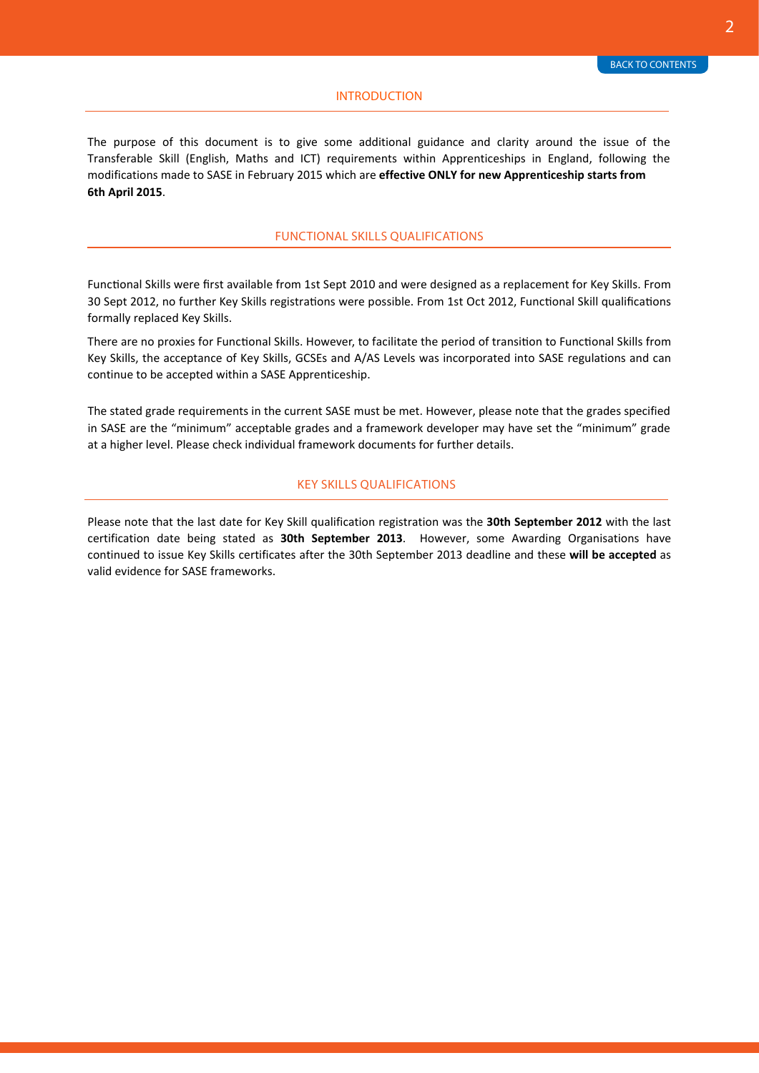#### INTRODUCTION

<span id="page-1-0"></span>The purpose of this document is to give some additional guidance and clarity around the issue of the Transferable Skill (English, Maths and ICT) requirements within Apprenticeships in England, following the modifications made to SASE in February 2015 which are **effective ONLY for new Apprenticeship starts from 6th April 2015**.

#### FUNCTIONAL SKILLS QUALIFICATIONS

Functional Skills were first available from 1st Sept 2010 and were designed as a replacement for Key Skills. From 30 Sept 2012, no further Key Skills registrations were possible. From 1st Oct 2012, Functional Skill qualifications formally replaced Key Skills.

There are no proxies for Functional Skills. However, to facilitate the period of transition to Functional Skills from Key Skills, the acceptance of Key Skills, GCSEs and A/AS Levels was incorporated into SASE regulations and can continue to be accepted within a SASE Apprenticeship.

The stated grade requirements in the current SASE must be met. However, please note that the grades specified in SASE are the "minimum" acceptable grades and a framework developer may have set the "minimum" grade at a higher level. Please check individual framework documents for further details.

#### KEY SKILLS QUALIFICATIONS

Please note that the last date for Key Skill qualification registration was the **30th September 2012** with the last certification date being stated as **30th September 2013**. However, some Awarding Organisations have continued to issue Key Skills certificates after the 30th September 2013 deadline and these **will be accepted** as valid evidence for SASE frameworks.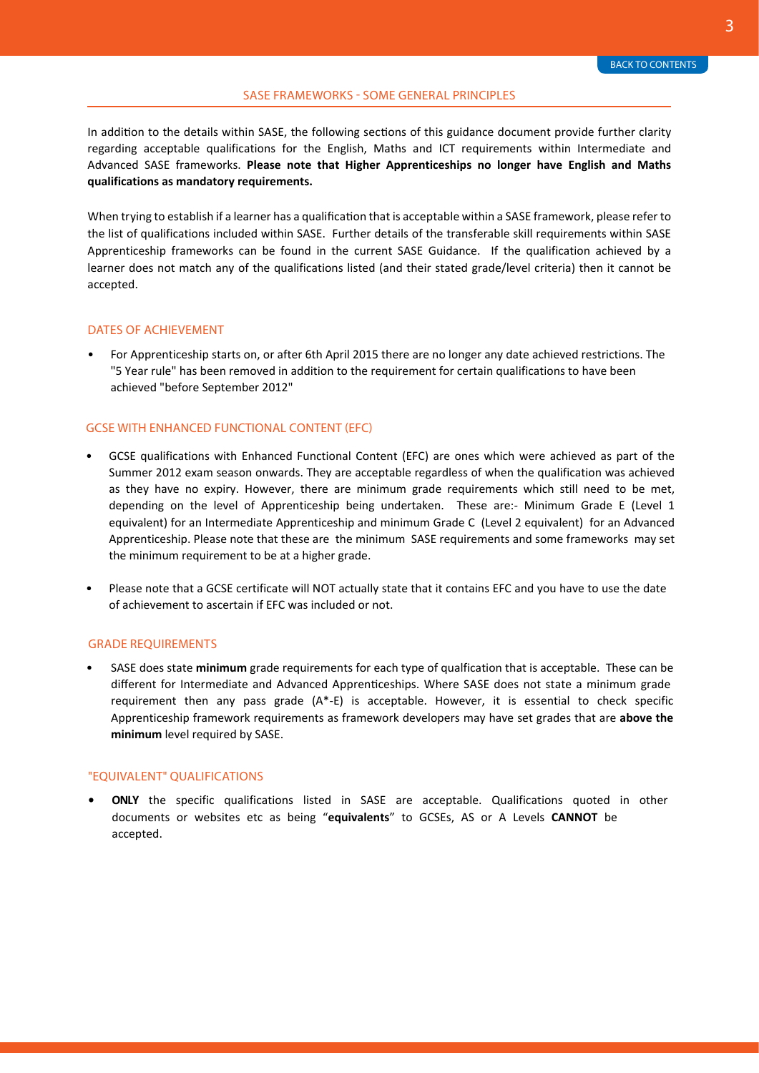#### SASE FRAMEWORKS - SOME GENERAL PRINCIPLES

<span id="page-2-0"></span>In addition to the details within SASE, the following sections of this guidance document provide further clarity regarding acceptable qualifications for the English, Maths and ICT requirements within Intermediate and Advanced SASE frameworks. **Please note that Higher Apprenticeships no longer have English and Maths qualifications as mandatory requirements.** 

When trying to establish if a learner has a qualification that is acceptable within a SASE framework, please refer to the list of qualifications included within SASE. Further [details of the tr](https://www.gov.uk/government/publications/specification-of-apprenticeship-standards-for-england)ansferable skill requirements within SASE Apprenticeship frameworks can be found in the current SASE Guidance. If the qualification achieved by a learner does not match any of the qualifications listed (and their stated grade/level criteria) then it cannot be accepted.

#### DATES OF ACHIEVEMENT

• For Apprenticeship starts on, or after 6th April 2015 there are no longer any date achieved restrictions. The "5 Year rule" has been removed in addition to the requirement for certain qualifications to have been achieved "before September 2012"

#### GCSE WITH ENHANCED FUNCTIONAL CONTENT (EFC)

- GCSE qualifications with Enhanced Functional Content (EFC) are ones which were achieved as part of the Summer 2012 exam season onwards. They are acceptable regardless of when the qualification was achieved as they have no expiry. However, there are minimum grade requirements which still need to be met, depending on the level of Apprenticeship being undertaken. These are:- Minimum Grade E (Level 1 equivalent) for an Intermediate Apprenticeship and minimum Grade C (Level 2 equivalent) for an Advanced Apprenticeship. Please note that these are the minimum SASE requirements and some frameworks may set the minimum requirement to be at a higher grade.
- Please note that a GCSE certificate will NOT actually state that it contains EFC and you have to use the date of achievement to ascertain if EFC was included or not.

#### GRADE REQUIREMENTS

• SASE does state **minimum** grade requirements for each type of qualfication that is acceptable. These can be different for Intermediate and Advanced Apprenticeships. Where SASE does not state a minimum grade requirement then any pass grade (A\*-E) is acceptable. However, it is essential to check specific Apprenticeship framework requirements as framework developers may have set grades that are **above the minimum** level required by SASE.

#### "EQUIVALENT" QUALIFICATIONS

**• ONLY** the specific qualifications listed in SASE are acceptable. Qualifications quoted in other documents or websites etc as being "**equivalents**" to GCSEs, AS or A Levels **CANNOT** be accepted.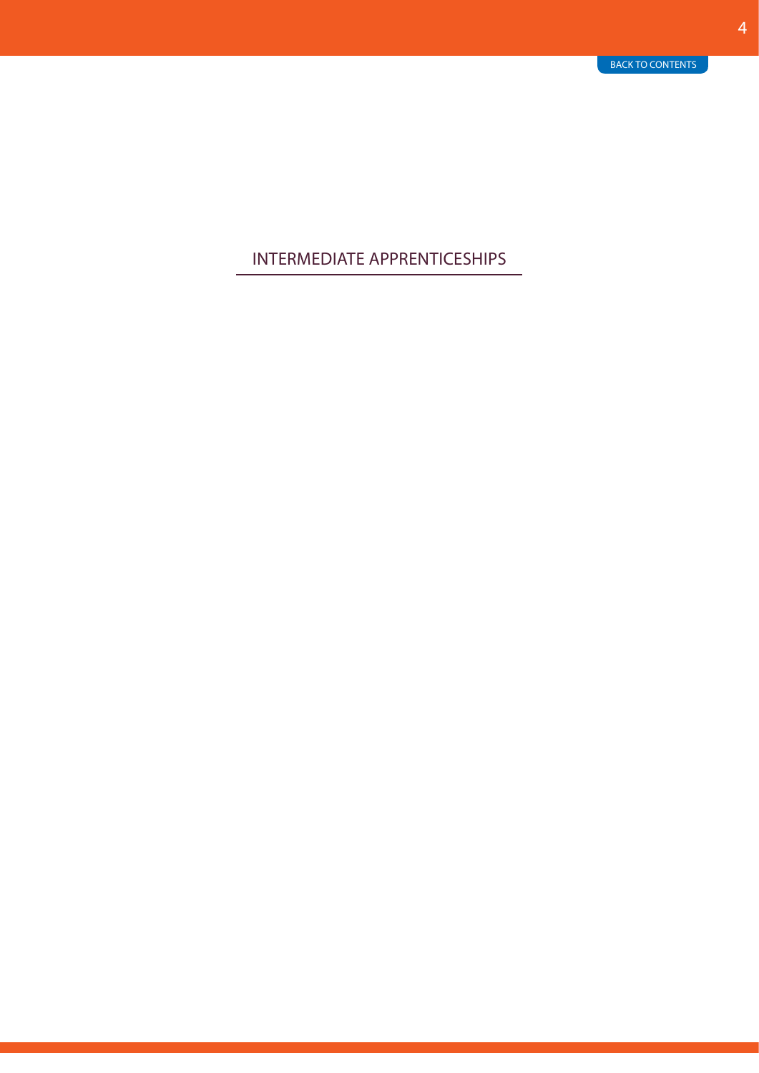### <span id="page-3-0"></span>INTERMEDIATE APPRENTICESHIPS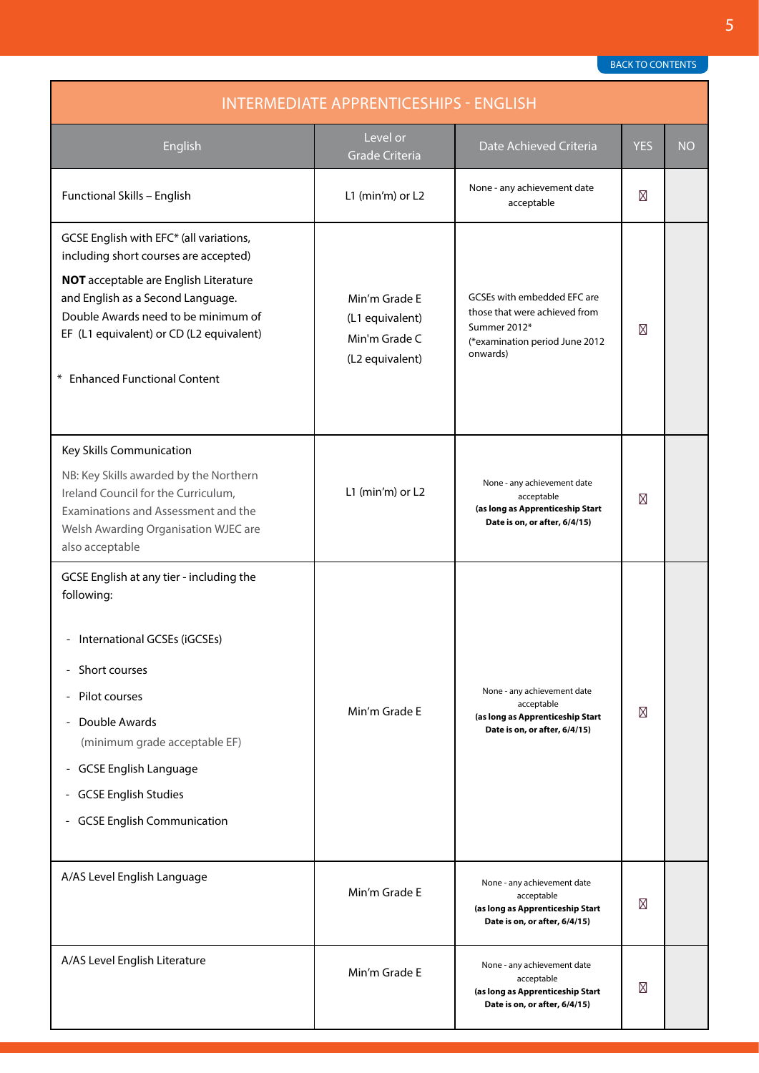<span id="page-4-0"></span>

| <b>INTERMEDIATE APPRENTICESHIPS - ENGLISH</b>                                                                                                                                                                                                                                             |                                                                      |                                                                                                                            |            |           |
|-------------------------------------------------------------------------------------------------------------------------------------------------------------------------------------------------------------------------------------------------------------------------------------------|----------------------------------------------------------------------|----------------------------------------------------------------------------------------------------------------------------|------------|-----------|
| English                                                                                                                                                                                                                                                                                   | Level or<br><b>Grade Criteria</b>                                    | Date Achieved Criteria                                                                                                     | <b>YES</b> | <b>NO</b> |
| Functional Skills - English                                                                                                                                                                                                                                                               | L1 (min'm) or L2                                                     | None - any achievement date<br>acceptable                                                                                  |            |           |
| GCSE English with EFC* (all variations,<br>including short courses are accepted)<br><b>NOT</b> acceptable are English Literature<br>and English as a Second Language.<br>Double Awards need to be minimum of<br>EF (L1 equivalent) or CD (L2 equivalent)<br>* Enhanced Functional Content | Min'm Grade E<br>(L1 equivalent)<br>Min'm Grade C<br>(L2 equivalent) | GCSEs with embedded EFC are<br>those that were achieved from<br>Summer 2012*<br>(*examination period June 2012<br>onwards) |            |           |
| Key Skills Communication<br>NB: Key Skills awarded by the Northern<br>Ireland Council for the Curriculum,<br>Examinations and Assessment and the<br>Welsh Awarding Organisation WJEC are<br>also acceptable                                                                               | L1 (min'm) or L2                                                     | None - any achievement date<br>acceptable<br>(as long as Apprenticeship Start<br>Date is on, or after, 6/4/15)             |            |           |
| GCSE English at any tier - including the<br>following:<br>- International GCSEs (iGCSEs)<br>Short courses<br>- Pilot courses<br>Double Awards<br>(minimum grade acceptable EF)<br>- GCSE English Language<br><b>GCSE English Studies</b><br>۳.<br>- GCSE English Communication            | Min'm Grade E                                                        | None - any achievement date<br>acceptable<br>(as long as Apprenticeship Start<br>Date is on, or after, 6/4/15)             |            |           |
| A/AS Level English Language                                                                                                                                                                                                                                                               | Min'm Grade E                                                        | None - any achievement date<br>acceptable<br>(as long as Apprenticeship Start<br>Date is on, or after, 6/4/15)             |            |           |
| A/AS Level English Literature                                                                                                                                                                                                                                                             | Min'm Grade E                                                        | None - any achievement date<br>acceptable<br>(as long as Apprenticeship Start<br>Date is on, or after, 6/4/15)             |            |           |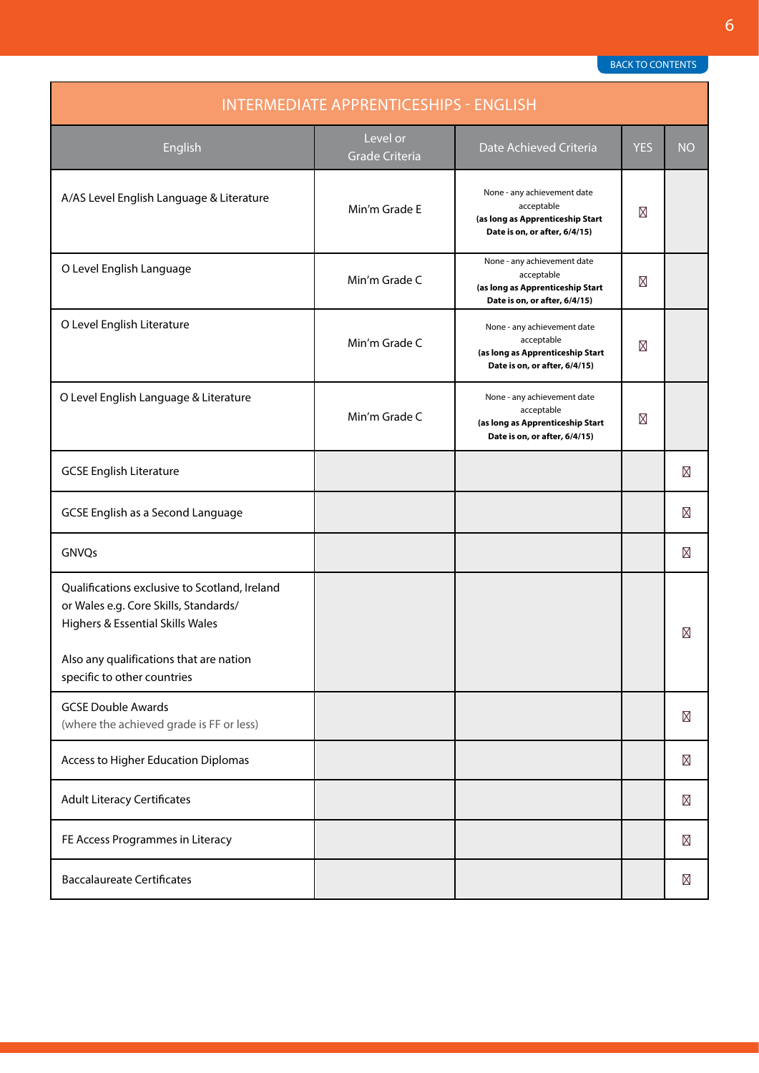| <b>INTERMEDIATE APPRENTICESHIPS - ENGLISH</b>                                                                                                                                                        |                            |                                                                                                                |            |           |
|------------------------------------------------------------------------------------------------------------------------------------------------------------------------------------------------------|----------------------------|----------------------------------------------------------------------------------------------------------------|------------|-----------|
| English                                                                                                                                                                                              | Level or<br>Grade Criteria | Date Achieved Criteria                                                                                         | <b>YES</b> | <b>NO</b> |
| A/AS Level English Language & Literature                                                                                                                                                             | Min'm Grade E              | None - any achievement date<br>acceptable<br>(as long as Apprenticeship Start<br>Date is on, or after, 6/4/15) |            |           |
| O Level English Language                                                                                                                                                                             | Min'm Grade C              | None - any achievement date<br>acceptable<br>(as long as Apprenticeship Start<br>Date is on, or after, 6/4/15) |            |           |
| O Level English Literature                                                                                                                                                                           | Min'm Grade C              | None - any achievement date<br>acceptable<br>(as long as Apprenticeship Start<br>Date is on, or after, 6/4/15) |            |           |
| O Level English Language & Literature                                                                                                                                                                | Min'm Grade C              | None - any achievement date<br>acceptable<br>(as long as Apprenticeship Start<br>Date is on, or after, 6/4/15) |            |           |
| <b>GCSE English Literature</b>                                                                                                                                                                       |                            |                                                                                                                |            |           |
| GCSE English as a Second Language                                                                                                                                                                    |                            |                                                                                                                |            |           |
| GNVQs                                                                                                                                                                                                |                            |                                                                                                                |            |           |
| Qualifications exclusive to Scotland, Ireland<br>or Wales e.g. Core Skills, Standards/<br>Highers & Essential Skills Wales<br>Also any qualifications that are nation<br>specific to other countries |                            |                                                                                                                |            |           |
| <b>GCSE Double Awards</b><br>(where the achieved grade is FF or less)                                                                                                                                |                            |                                                                                                                |            |           |
| Access to Higher Education Diplomas                                                                                                                                                                  |                            |                                                                                                                |            |           |
| <b>Adult Literacy Certificates</b>                                                                                                                                                                   |                            |                                                                                                                |            |           |
| FE Access Programmes in Literacy                                                                                                                                                                     |                            |                                                                                                                |            |           |
| <b>Baccalaureate Certificates</b>                                                                                                                                                                    |                            |                                                                                                                |            |           |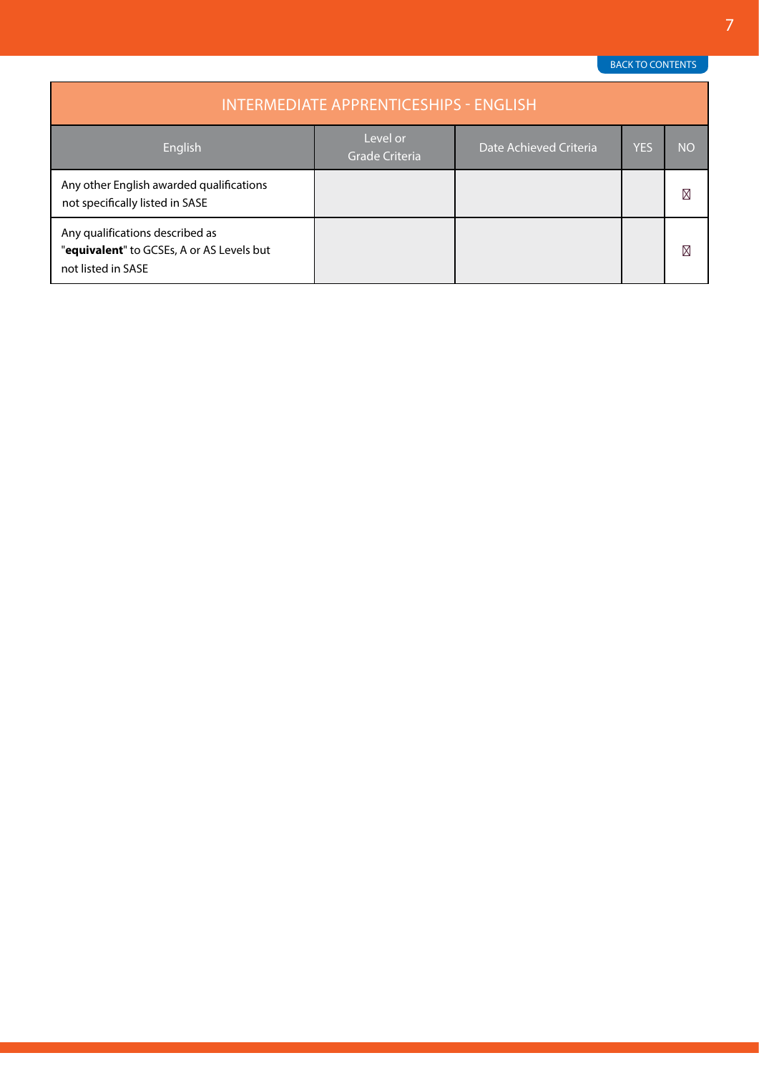<span id="page-6-0"></span>

| <b>INTERMEDIATE APPRENTICESHIPS - ENGLISH</b>                                                      |                                   |                        |     |           |
|----------------------------------------------------------------------------------------------------|-----------------------------------|------------------------|-----|-----------|
| English                                                                                            | Level or<br><b>Grade Criteria</b> | Date Achieved Criteria | YES | <b>NO</b> |
| Any other English awarded qualifications<br>not specifically listed in SASE                        |                                   |                        |     |           |
| Any qualifications described as<br>"equivalent" to GCSEs, A or AS Levels but<br>not listed in SASE |                                   |                        |     |           |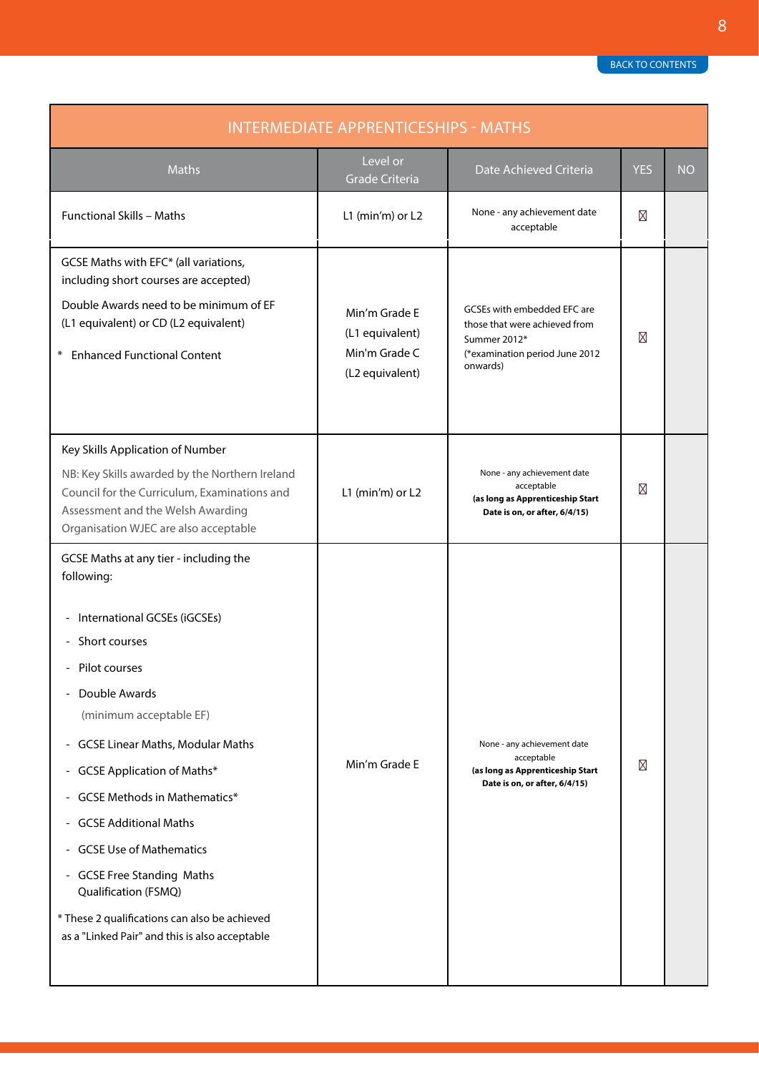<span id="page-7-0"></span>

| <b>INTERMEDIATE APPRENTICESHIPS - MATHS</b>                                                                                                                                                                                                                                                                                                                                                                                                                                                           |                                                                      |                                                                                                                            |            |           |
|-------------------------------------------------------------------------------------------------------------------------------------------------------------------------------------------------------------------------------------------------------------------------------------------------------------------------------------------------------------------------------------------------------------------------------------------------------------------------------------------------------|----------------------------------------------------------------------|----------------------------------------------------------------------------------------------------------------------------|------------|-----------|
| <b>Maths</b>                                                                                                                                                                                                                                                                                                                                                                                                                                                                                          | Level or<br><b>Grade Criteria</b>                                    | Date Achieved Criteria                                                                                                     | <b>YES</b> | <b>NO</b> |
| <b>Functional Skills - Maths</b>                                                                                                                                                                                                                                                                                                                                                                                                                                                                      | L1 (min'm) or L2                                                     | None - any achievement date<br>acceptable                                                                                  |            |           |
| GCSE Maths with EFC* (all variations,<br>including short courses are accepted)<br>Double Awards need to be minimum of EF<br>(L1 equivalent) or CD (L2 equivalent)<br><b>Enhanced Functional Content</b><br>$*$                                                                                                                                                                                                                                                                                        | Min'm Grade E<br>(L1 equivalent)<br>Min'm Grade C<br>(L2 equivalent) | GCSEs with embedded EFC are<br>those that were achieved from<br>Summer 2012*<br>(*examination period June 2012<br>onwards) |            |           |
| Key Skills Application of Number<br>NB: Key Skills awarded by the Northern Ireland<br>Council for the Curriculum, Examinations and<br>Assessment and the Welsh Awarding<br>Organisation WJEC are also acceptable                                                                                                                                                                                                                                                                                      | L1 (min'm) or L2                                                     | None - any achievement date<br>acceptable<br>(as long as Apprenticeship Start<br>Date is on, or after, 6/4/15)             |            |           |
| GCSE Maths at any tier - including the<br>following:<br>International GCSEs (iGCSEs)<br>Short courses<br>Pilot courses<br>Double Awards<br>(minimum acceptable EF)<br><b>GCSE Linear Maths, Modular Maths</b><br>- GCSE Application of Maths*<br><b>GCSE Methods in Mathematics*</b><br>- GCSE Additional Maths<br>- GCSE Use of Mathematics<br>- GCSE Free Standing Maths<br>Qualification (FSMQ)<br>* These 2 qualifications can also be achieved<br>as a "Linked Pair" and this is also acceptable | Min'm Grade E                                                        | None - any achievement date<br>acceptable<br>(as long as Apprenticeship Start<br>Date is on, or after, 6/4/15)             |            |           |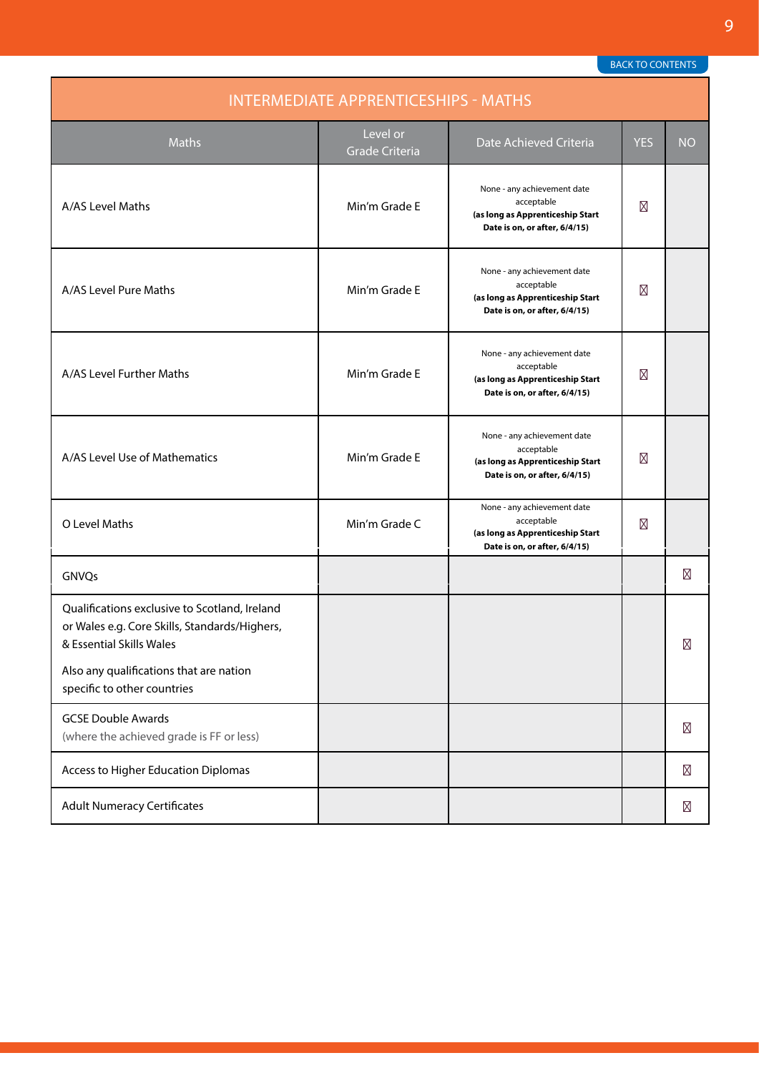<span id="page-8-0"></span>

| <b>INTERMEDIATE APPRENTICESHIPS - MATHS</b>                                                                                |                                   |                                                                                                                |            |           |
|----------------------------------------------------------------------------------------------------------------------------|-----------------------------------|----------------------------------------------------------------------------------------------------------------|------------|-----------|
| <b>Maths</b>                                                                                                               | Level or<br><b>Grade Criteria</b> | Date Achieved Criteria                                                                                         | <b>YES</b> | <b>NO</b> |
| A/AS Level Maths                                                                                                           | Min'm Grade E                     | None - any achievement date<br>acceptable<br>(as long as Apprenticeship Start<br>Date is on, or after, 6/4/15) |            |           |
| A/AS Level Pure Maths                                                                                                      | Min'm Grade E                     | None - any achievement date<br>acceptable<br>(as long as Apprenticeship Start<br>Date is on, or after, 6/4/15) |            |           |
| A/AS Level Further Maths                                                                                                   | Min'm Grade E                     | None - any achievement date<br>acceptable<br>(as long as Apprenticeship Start<br>Date is on, or after, 6/4/15) |            |           |
| A/AS Level Use of Mathematics                                                                                              | Min'm Grade E                     | None - any achievement date<br>acceptable<br>(as long as Apprenticeship Start<br>Date is on, or after, 6/4/15) |            |           |
| O Level Maths                                                                                                              | Min'm Grade C                     | None - any achievement date<br>acceptable<br>(as long as Apprenticeship Start<br>Date is on, or after, 6/4/15) |            |           |
| GNVQs                                                                                                                      |                                   |                                                                                                                |            |           |
| Qualifications exclusive to Scotland, Ireland<br>or Wales e.g. Core Skills, Standards/Highers,<br>& Essential Skills Wales |                                   |                                                                                                                |            |           |
| Also any qualifications that are nation<br>specific to other countries                                                     |                                   |                                                                                                                |            |           |
| <b>GCSE Double Awards</b><br>(where the achieved grade is FF or less)                                                      |                                   |                                                                                                                |            |           |
| Access to Higher Education Diplomas                                                                                        |                                   |                                                                                                                |            |           |
| <b>Adult Numeracy Certificates</b>                                                                                         |                                   |                                                                                                                |            |           |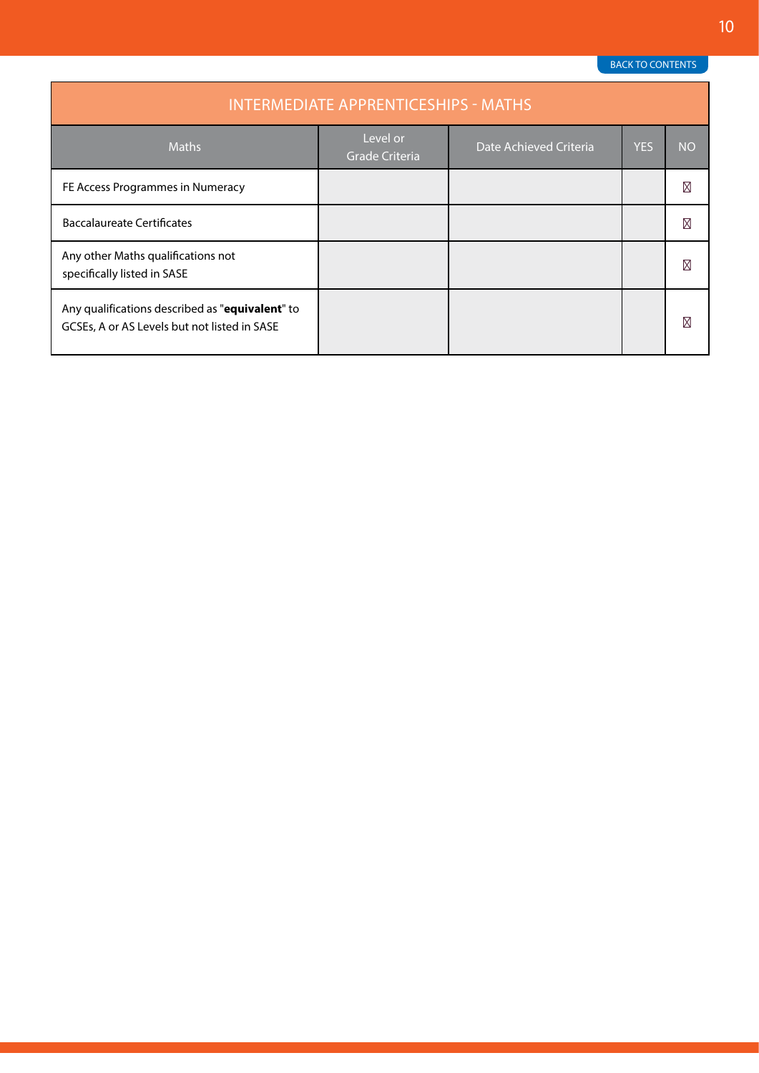| <b>INTERMEDIATE APPRENTICESHIPS - MATHS</b>                                                     |                                   |                        |            |           |
|-------------------------------------------------------------------------------------------------|-----------------------------------|------------------------|------------|-----------|
| <b>Maths</b>                                                                                    | Level or<br><b>Grade Criteria</b> | Date Achieved Criteria | <b>YES</b> | <b>NO</b> |
| FE Access Programmes in Numeracy                                                                |                                   |                        |            |           |
| <b>Baccalaureate Certificates</b>                                                               |                                   |                        |            |           |
| Any other Maths qualifications not<br>specifically listed in SASE                               |                                   |                        |            |           |
| Any qualifications described as "equivalent" to<br>GCSEs, A or AS Levels but not listed in SASE |                                   |                        |            |           |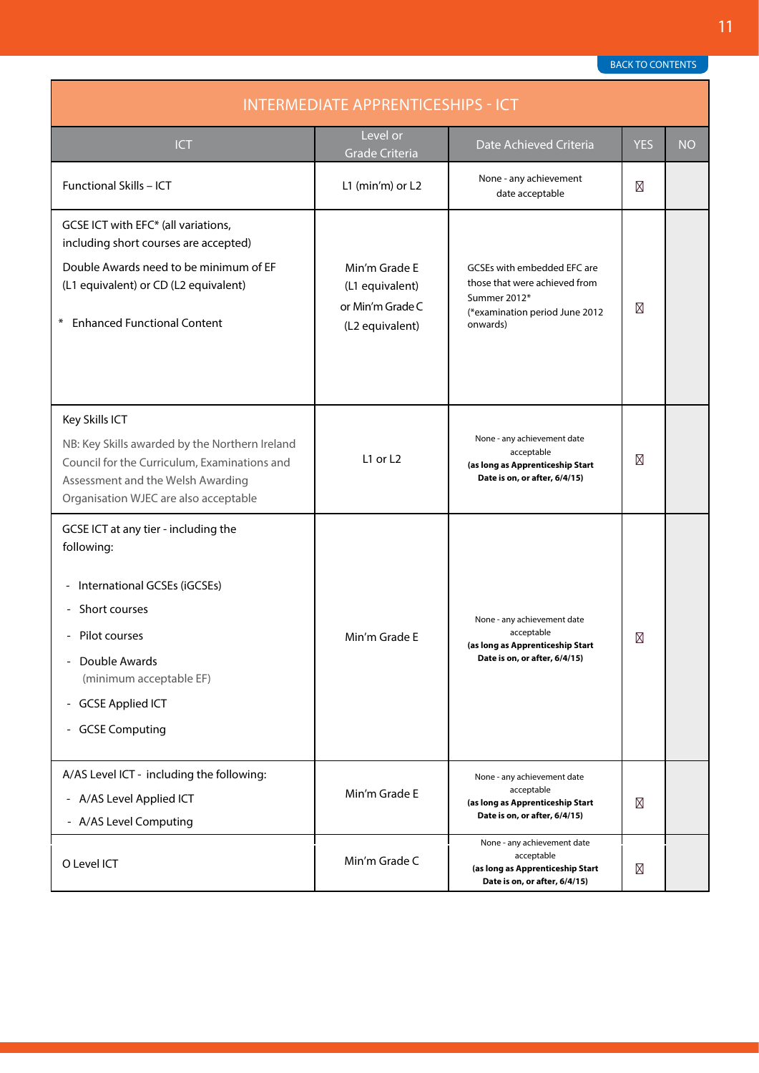<span id="page-10-0"></span>

| <b>INTERMEDIATE APPRENTICESHIPS - ICT</b>                                                                                                                                                                               |                                                                         |                                                                                                                            |            |           |
|-------------------------------------------------------------------------------------------------------------------------------------------------------------------------------------------------------------------------|-------------------------------------------------------------------------|----------------------------------------------------------------------------------------------------------------------------|------------|-----------|
| ICT                                                                                                                                                                                                                     | Level or<br><b>Grade Criteria</b>                                       | Date Achieved Criteria                                                                                                     | <b>YES</b> | <b>NO</b> |
| Functional Skills - ICT                                                                                                                                                                                                 | L1 (min'm) or L2                                                        | None - any achievement<br>date acceptable                                                                                  |            |           |
| GCSE ICT with EFC* (all variations,<br>including short courses are accepted)<br>Double Awards need to be minimum of EF<br>(L1 equivalent) or CD (L2 equivalent)<br><b>Enhanced Functional Content</b><br>⋇              | Min'm Grade E<br>(L1 equivalent)<br>or Min'm Grade C<br>(L2 equivalent) | GCSEs with embedded EFC are<br>those that were achieved from<br>Summer 2012*<br>(*examination period June 2012<br>onwards) |            |           |
| Key Skills ICT<br>NB: Key Skills awarded by the Northern Ireland<br>Council for the Curriculum, Examinations and<br>Assessment and the Welsh Awarding<br>Organisation WJEC are also acceptable                          | L1 or $L2$                                                              | None - any achievement date<br>acceptable<br>(as long as Apprenticeship Start<br>Date is on, or after, 6/4/15)             |            |           |
| GCSE ICT at any tier - including the<br>following:<br>International GCSEs (iGCSEs)<br>Short courses<br>- Pilot courses<br>Double Awards<br>(minimum acceptable EF)<br>- GCSE Applied ICT<br><b>GCSE Computing</b><br>۰, | Min'm Grade E                                                           | None - any achievement date<br>acceptable<br>(as long as Apprenticeship Start<br>Date is on, or after, 6/4/15)             |            |           |
| A/AS Level ICT - including the following:<br>- A/AS Level Applied ICT<br>- A/AS Level Computing                                                                                                                         | Min'm Grade E                                                           | None - any achievement date<br>acceptable<br>(as long as Apprenticeship Start<br>Date is on, or after, 6/4/15)             |            |           |
| O Level ICT                                                                                                                                                                                                             | Min'm Grade C                                                           | None - any achievement date<br>acceptable<br>(as long as Apprenticeship Start<br>Date is on, or after, 6/4/15)             |            |           |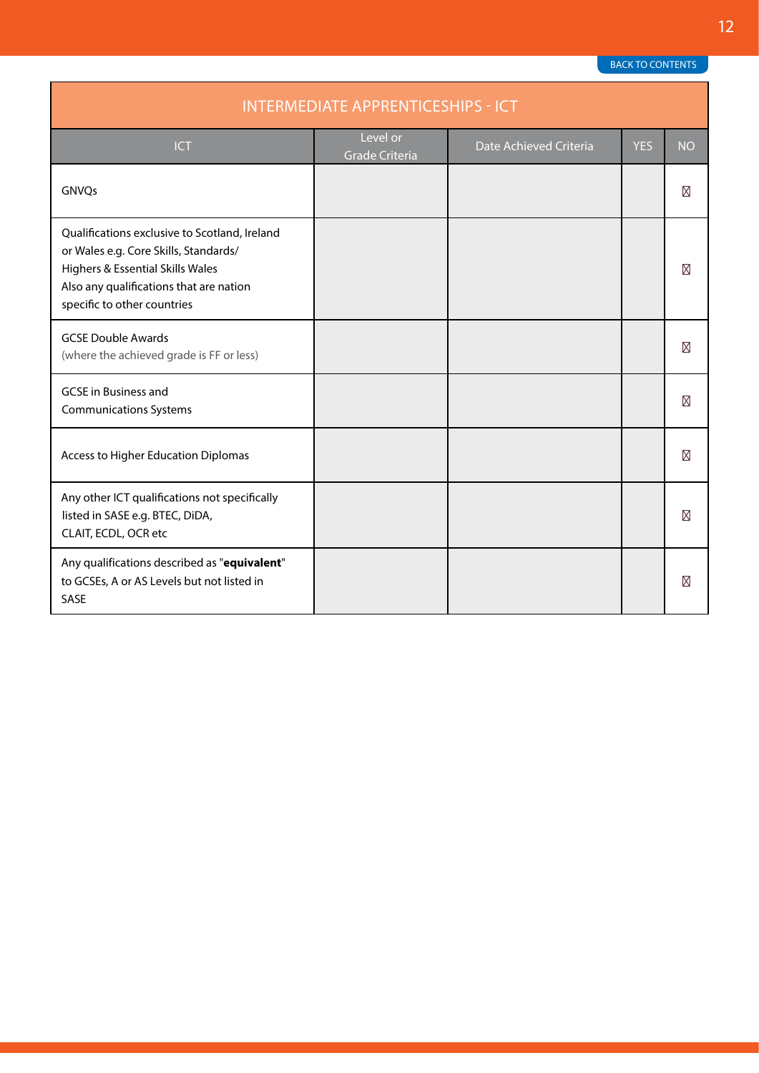| <b>INTERMEDIATE APPRENTICESHIPS - ICT</b>                                                                                                                                                            |                                   |                        |            |           |  |
|------------------------------------------------------------------------------------------------------------------------------------------------------------------------------------------------------|-----------------------------------|------------------------|------------|-----------|--|
| <b>ICT</b>                                                                                                                                                                                           | Level or<br><b>Grade Criteria</b> | Date Achieved Criteria | <b>YES</b> | <b>NO</b> |  |
| GNVQs                                                                                                                                                                                                |                                   |                        |            |           |  |
| Qualifications exclusive to Scotland, Ireland<br>or Wales e.g. Core Skills, Standards/<br>Highers & Essential Skills Wales<br>Also any qualifications that are nation<br>specific to other countries |                                   |                        |            |           |  |
| <b>GCSE Double Awards</b><br>(where the achieved grade is FF or less)                                                                                                                                |                                   |                        |            |           |  |
| <b>GCSE</b> in Business and<br><b>Communications Systems</b>                                                                                                                                         |                                   |                        |            |           |  |
| Access to Higher Education Diplomas                                                                                                                                                                  |                                   |                        |            |           |  |
| Any other ICT qualifications not specifically<br>listed in SASE e.g. BTEC, DiDA,<br>CLAIT, ECDL, OCR etc                                                                                             |                                   |                        |            |           |  |
| Any qualifications described as "equivalent"<br>to GCSEs, A or AS Levels but not listed in<br>SASE                                                                                                   |                                   |                        |            |           |  |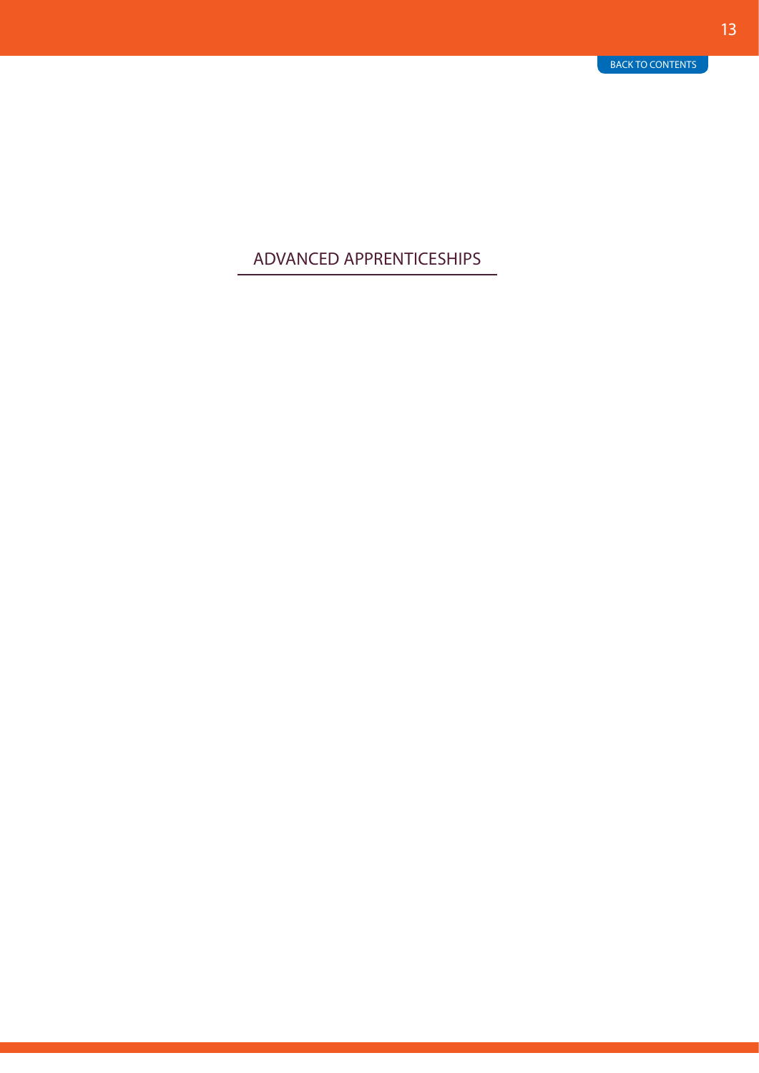### <span id="page-12-0"></span>ADVANCED APPRENTICESHIPS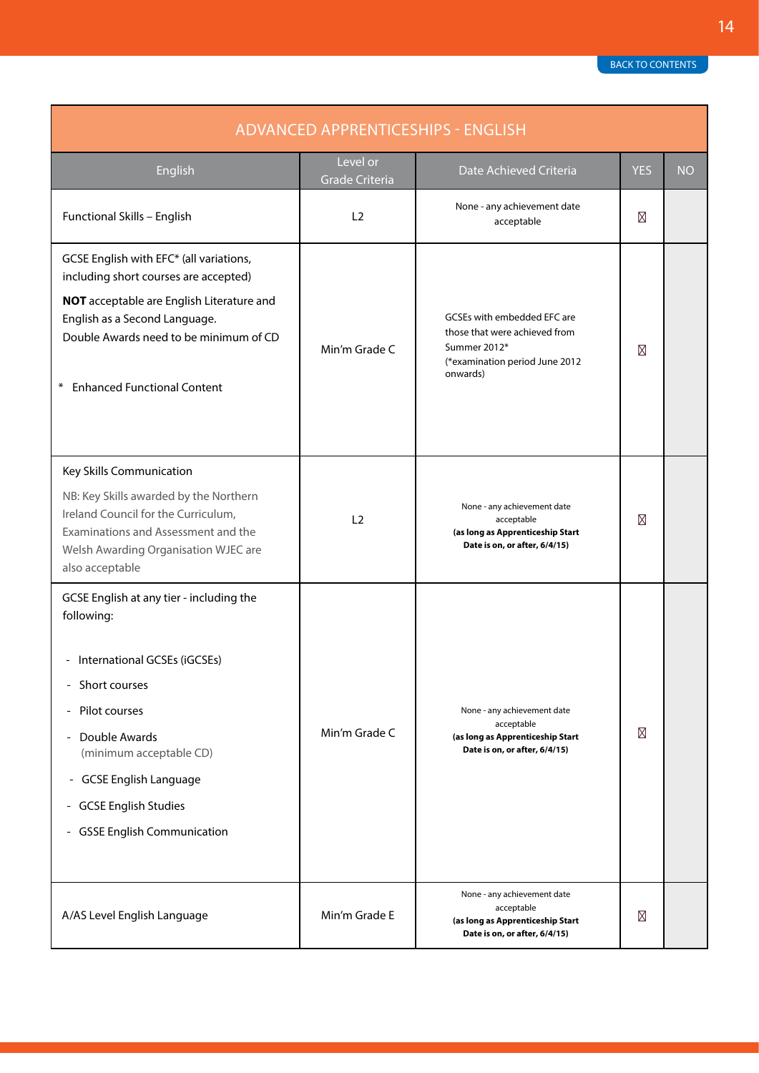<span id="page-13-0"></span>

| <b>ADVANCED APPRENTICESHIPS - ENGLISH</b>                                                                                                                                                                                                                                                                                                                                                   |                                   |                                                                                                                            |            |           |
|---------------------------------------------------------------------------------------------------------------------------------------------------------------------------------------------------------------------------------------------------------------------------------------------------------------------------------------------------------------------------------------------|-----------------------------------|----------------------------------------------------------------------------------------------------------------------------|------------|-----------|
| English                                                                                                                                                                                                                                                                                                                                                                                     | Level or<br><b>Grade Criteria</b> | Date Achieved Criteria                                                                                                     | <b>YES</b> | <b>NO</b> |
| Functional Skills - English                                                                                                                                                                                                                                                                                                                                                                 | L <sub>2</sub>                    | None - any achievement date<br>acceptable                                                                                  |            |           |
| GCSE English with EFC* (all variations,<br>including short courses are accepted)<br>NOT acceptable are English Literature and<br>English as a Second Language.<br>Double Awards need to be minimum of CD<br><b>Enhanced Functional Content</b><br>$\ast$                                                                                                                                    | Min'm Grade C                     | GCSEs with embedded EFC are<br>those that were achieved from<br>Summer 2012*<br>(*examination period June 2012<br>onwards) |            |           |
| Key Skills Communication<br>NB: Key Skills awarded by the Northern<br>Ireland Council for the Curriculum,<br>Examinations and Assessment and the<br>Welsh Awarding Organisation WJEC are<br>also acceptable                                                                                                                                                                                 | L <sub>2</sub>                    | None - any achievement date<br>acceptable<br>(as long as Apprenticeship Start<br>Date is on, or after, 6/4/15)             |            |           |
| GCSE English at any tier - including the<br>following:<br>International GCSEs (iGCSEs)<br>Short courses<br>$\overline{\phantom{a}}$<br>Pilot courses<br>$\overline{\phantom{m}}$<br>Double Awards<br>$\overline{\phantom{a}}$<br>(minimum acceptable CD)<br><b>GCSE English Language</b><br>$\blacksquare$<br>- GCSE English Studies<br><b>GSSE English Communication</b><br>$\blacksquare$ | Min'm Grade C                     | None - any achievement date<br>acceptable<br>(as long as Apprenticeship Start<br>Date is on, or after, 6/4/15)             |            |           |
| A/AS Level English Language                                                                                                                                                                                                                                                                                                                                                                 | Min'm Grade E                     | None - any achievement date<br>acceptable<br>(as long as Apprenticeship Start<br>Date is on, or after, 6/4/15)             |            |           |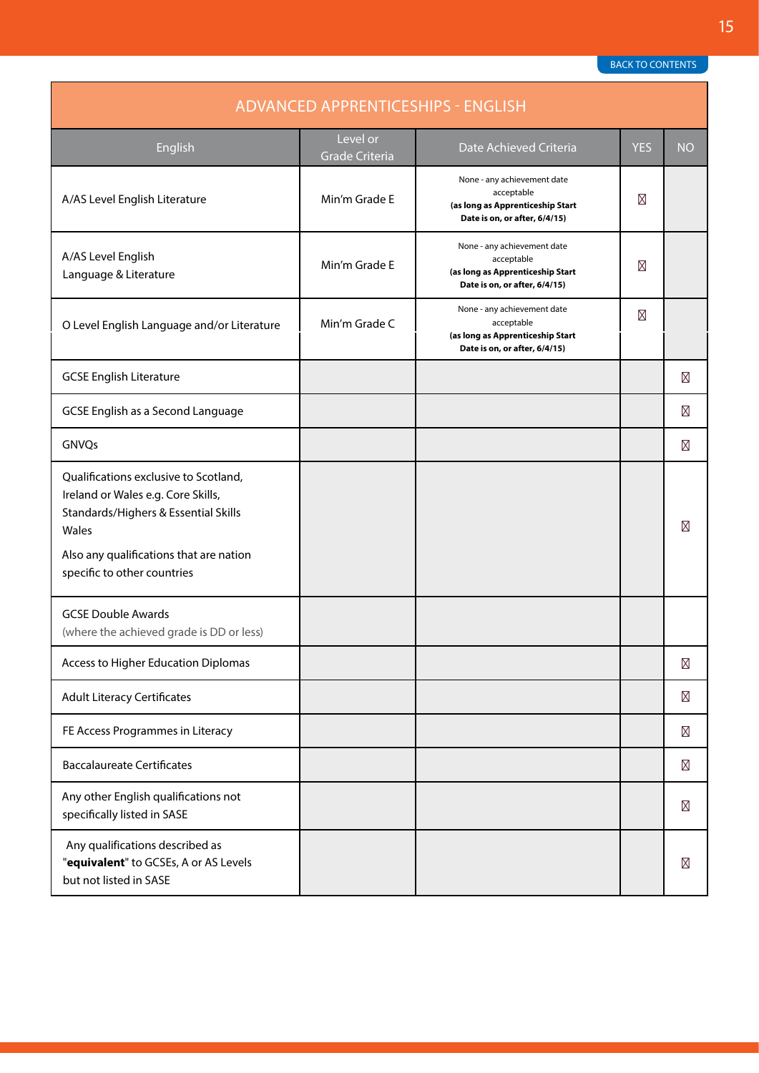| <b>ADVANCED APPRENTICESHIPS - ENGLISH</b>                                                                                    |                                   |                                                                                                                |            |           |  |
|------------------------------------------------------------------------------------------------------------------------------|-----------------------------------|----------------------------------------------------------------------------------------------------------------|------------|-----------|--|
| English                                                                                                                      | Level or<br><b>Grade Criteria</b> | Date Achieved Criteria                                                                                         | <b>YES</b> | <b>NO</b> |  |
| A/AS Level English Literature                                                                                                | Min'm Grade E                     | None - any achievement date<br>acceptable<br>(as long as Apprenticeship Start<br>Date is on, or after, 6/4/15) |            |           |  |
| A/AS Level English<br>Language & Literature                                                                                  | Min'm Grade E                     | None - any achievement date<br>acceptable<br>(as long as Apprenticeship Start<br>Date is on, or after, 6/4/15) |            |           |  |
| O Level English Language and/or Literature                                                                                   | Min'm Grade C                     | None - any achievement date<br>acceptable<br>(as long as Apprenticeship Start<br>Date is on, or after, 6/4/15) |            |           |  |
| <b>GCSE English Literature</b>                                                                                               |                                   |                                                                                                                |            |           |  |
| <b>GCSE English as a Second Language</b>                                                                                     |                                   |                                                                                                                |            |           |  |
| GNVQs                                                                                                                        |                                   |                                                                                                                |            |           |  |
| Qualifications exclusive to Scotland,<br>Ireland or Wales e.g. Core Skills,<br>Standards/Highers & Essential Skills<br>Wales |                                   |                                                                                                                |            |           |  |
| Also any qualifications that are nation<br>specific to other countries                                                       |                                   |                                                                                                                |            |           |  |
| <b>GCSE Double Awards</b><br>(where the achieved grade is DD or less)                                                        |                                   |                                                                                                                |            |           |  |
| Access to Higher Education Diplomas                                                                                          |                                   |                                                                                                                |            |           |  |
| <b>Adult Literacy Certificates</b>                                                                                           |                                   |                                                                                                                |            |           |  |
| FE Access Programmes in Literacy                                                                                             |                                   |                                                                                                                |            |           |  |
| <b>Baccalaureate Certificates</b>                                                                                            |                                   |                                                                                                                |            |           |  |
| Any other English qualifications not<br>specifically listed in SASE                                                          |                                   |                                                                                                                |            |           |  |
| Any qualifications described as<br>"equivalent" to GCSEs, A or AS Levels<br>but not listed in SASE                           |                                   |                                                                                                                |            |           |  |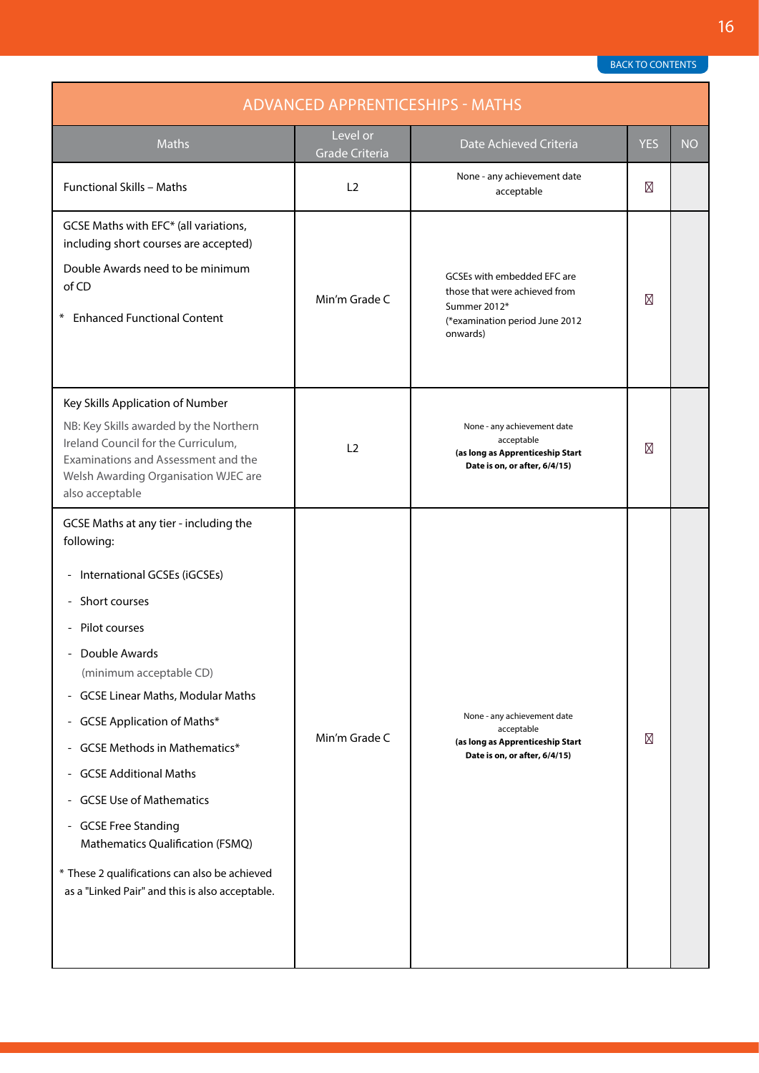<span id="page-15-0"></span>

| <b>ADVANCED APPRENTICESHIPS - MATHS</b>                                                                                                                                                                                                                                                             |                            |                                                                                                                            |            |           |
|-----------------------------------------------------------------------------------------------------------------------------------------------------------------------------------------------------------------------------------------------------------------------------------------------------|----------------------------|----------------------------------------------------------------------------------------------------------------------------|------------|-----------|
| <b>Maths</b>                                                                                                                                                                                                                                                                                        | Level or<br>Grade Criteria | Date Achieved Criteria                                                                                                     | <b>YES</b> | <b>NO</b> |
| <b>Functional Skills - Maths</b>                                                                                                                                                                                                                                                                    | L2                         | None - any achievement date<br>acceptable                                                                                  |            |           |
| GCSE Maths with EFC* (all variations,<br>including short courses are accepted)                                                                                                                                                                                                                      |                            |                                                                                                                            |            |           |
| Double Awards need to be minimum<br>of CD<br><b>Enhanced Functional Content</b>                                                                                                                                                                                                                     | Min'm Grade C              | GCSEs with embedded EFC are<br>those that were achieved from<br>Summer 2012*<br>(*examination period June 2012<br>onwards) |            |           |
| Key Skills Application of Number                                                                                                                                                                                                                                                                    |                            |                                                                                                                            |            |           |
| NB: Key Skills awarded by the Northern<br>Ireland Council for the Curriculum,<br>Examinations and Assessment and the<br>Welsh Awarding Organisation WJEC are<br>also acceptable                                                                                                                     | L <sub>2</sub>             | None - any achievement date<br>acceptable<br>(as long as Apprenticeship Start<br>Date is on, or after, 6/4/15)             |            |           |
| GCSE Maths at any tier - including the<br>following:<br>International GCSEs (iGCSEs)<br>$\blacksquare$<br>Short courses<br>- Pilot courses<br>Double Awards<br>(minimum acceptable CD)<br>- GCSE Linear Maths, Modular Maths<br>- GCSE Application of Maths*<br><b>GCSE Methods in Mathematics*</b> | Min'm Grade C              | None - any achievement date<br>acceptable<br>(as long as Apprenticeship Start<br>Date is on, or after, 6/4/15)             |            |           |
| <b>GCSE Additional Maths</b><br>- GCSE Use of Mathematics<br>- GCSE Free Standing<br>Mathematics Qualification (FSMQ)<br>* These 2 qualifications can also be achieved<br>as a "Linked Pair" and this is also acceptable.                                                                           |                            |                                                                                                                            |            |           |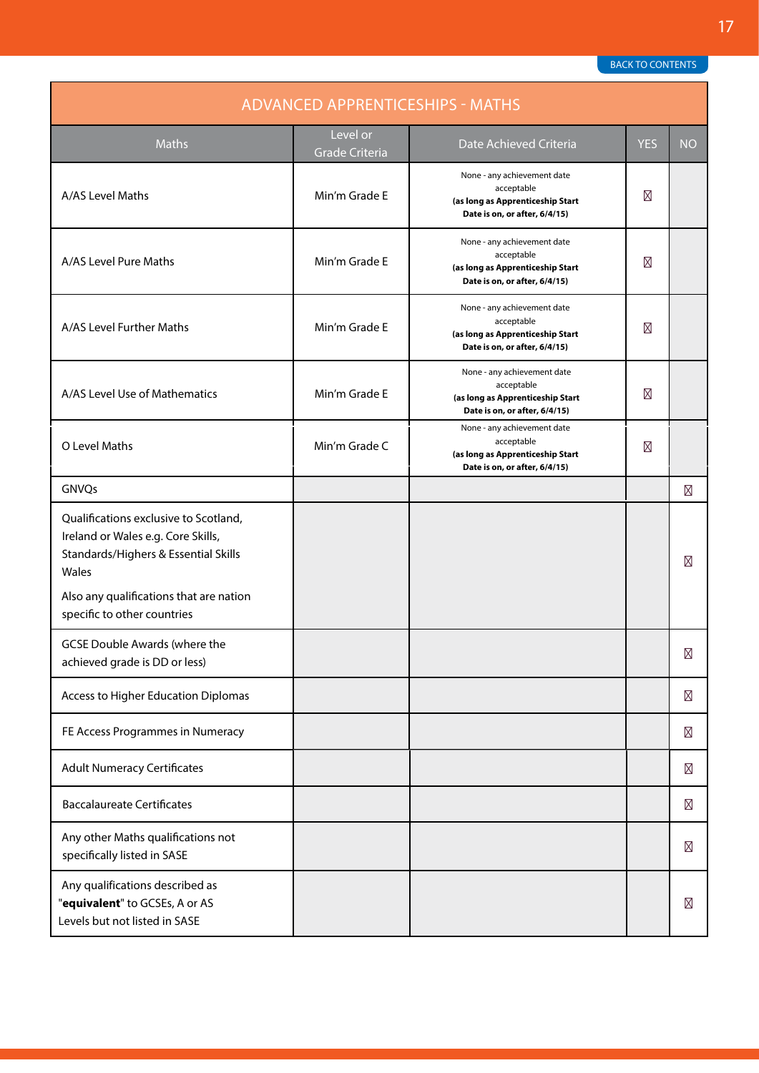| <b>ADVANCED APPRENTICESHIPS - MATHS</b>                                                                                      |                                   |                                                                                                                |            |           |
|------------------------------------------------------------------------------------------------------------------------------|-----------------------------------|----------------------------------------------------------------------------------------------------------------|------------|-----------|
| Maths                                                                                                                        | Level or<br><b>Grade Criteria</b> | Date Achieved Criteria                                                                                         | <b>YES</b> | <b>NO</b> |
| A/AS Level Maths                                                                                                             | Min'm Grade E                     | None - any achievement date<br>acceptable<br>(as long as Apprenticeship Start<br>Date is on, or after, 6/4/15) |            |           |
| A/AS Level Pure Maths                                                                                                        | Min'm Grade E                     | None - any achievement date<br>acceptable<br>(as long as Apprenticeship Start<br>Date is on, or after, 6/4/15) |            |           |
| A/AS Level Further Maths                                                                                                     | Min'm Grade E                     | None - any achievement date<br>acceptable<br>(as long as Apprenticeship Start<br>Date is on, or after, 6/4/15) |            |           |
| A/AS Level Use of Mathematics                                                                                                | Min'm Grade E                     | None - any achievement date<br>acceptable<br>(as long as Apprenticeship Start<br>Date is on, or after, 6/4/15) |            |           |
| O Level Maths                                                                                                                | Min'm Grade C                     | None - any achievement date<br>acceptable<br>(as long as Apprenticeship Start<br>Date is on, or after, 6/4/15) |            |           |
| GNVQs                                                                                                                        |                                   |                                                                                                                |            |           |
| Qualifications exclusive to Scotland,<br>Ireland or Wales e.g. Core Skills,<br>Standards/Highers & Essential Skills<br>Wales |                                   |                                                                                                                |            |           |
| Also any qualifications that are nation<br>specific to other countries                                                       |                                   |                                                                                                                |            |           |
| <b>GCSE Double Awards (where the</b><br>achieved grade is DD or less)                                                        |                                   |                                                                                                                |            |           |
| Access to Higher Education Diplomas                                                                                          |                                   |                                                                                                                |            |           |
| FE Access Programmes in Numeracy                                                                                             |                                   |                                                                                                                |            |           |
| <b>Adult Numeracy Certificates</b>                                                                                           |                                   |                                                                                                                |            |           |
| <b>Baccalaureate Certificates</b>                                                                                            |                                   |                                                                                                                |            |           |
| Any other Maths qualifications not<br>specifically listed in SASE                                                            |                                   |                                                                                                                |            |           |
| Any qualifications described as<br>"equivalent" to GCSEs, A or AS<br>Levels but not listed in SASE                           |                                   |                                                                                                                |            |           |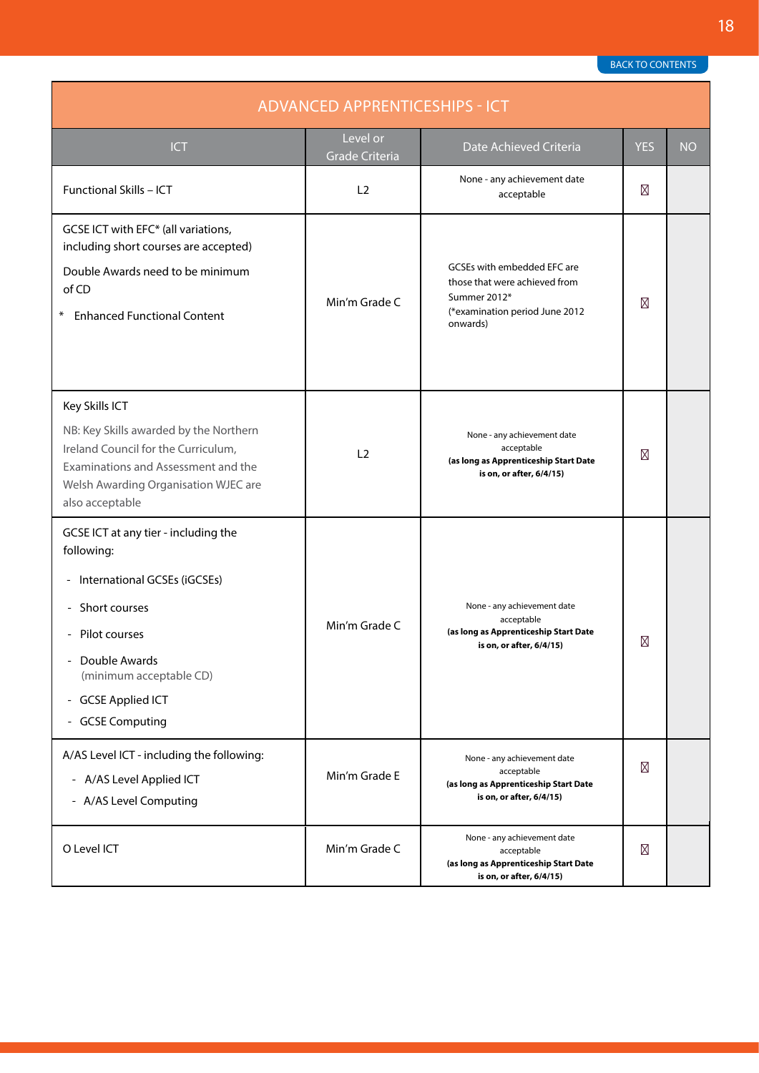<span id="page-17-0"></span>

| <b>ADVANCED APPRENTICESHIPS - ICT</b>                                                                                                                                                                                          |                            |                                                                                                                            |            |           |
|--------------------------------------------------------------------------------------------------------------------------------------------------------------------------------------------------------------------------------|----------------------------|----------------------------------------------------------------------------------------------------------------------------|------------|-----------|
| <b>ICT</b>                                                                                                                                                                                                                     | Level or<br>Grade Criteria | Date Achieved Criteria                                                                                                     | <b>YES</b> | <b>NO</b> |
| Functional Skills - ICT                                                                                                                                                                                                        | L <sub>2</sub>             | None - any achievement date<br>acceptable                                                                                  |            |           |
| GCSE ICT with EFC* (all variations,<br>including short courses are accepted)<br>Double Awards need to be minimum<br>of CD<br><b>Enhanced Functional Content</b><br>⋇                                                           | Min'm Grade C              | GCSEs with embedded EFC are<br>those that were achieved from<br>Summer 2012*<br>(*examination period June 2012<br>onwards) |            |           |
| Key Skills ICT<br>NB: Key Skills awarded by the Northern<br>Ireland Council for the Curriculum,<br>Examinations and Assessment and the<br>Welsh Awarding Organisation WJEC are<br>also acceptable                              | L <sub>2</sub>             | None - any achievement date<br>acceptable<br>(as long as Apprenticeship Start Date<br>is on, or after, 6/4/15)             |            |           |
| GCSE ICT at any tier - including the<br>following:<br>International GCSEs (iGCSEs)<br>$\blacksquare$<br>Short courses<br>- Pilot courses<br>Double Awards<br>(minimum acceptable CD)<br>- GCSE Applied ICT<br>- GCSE Computing | Min'm Grade C              | None - any achievement date<br>acceptable<br>(as long as Apprenticeship Start Date<br>is on, or after, 6/4/15)             |            |           |
| A/AS Level ICT - including the following:<br>- A/AS Level Applied ICT<br>- A/AS Level Computing                                                                                                                                | Min'm Grade E              | None - any achievement date<br>acceptable<br>(as long as Apprenticeship Start Date<br>is on, or after, 6/4/15)             |            |           |
| O Level ICT                                                                                                                                                                                                                    | Min'm Grade C              | None - any achievement date<br>acceptable<br>(as long as Apprenticeship Start Date<br>is on, or after, 6/4/15)             |            |           |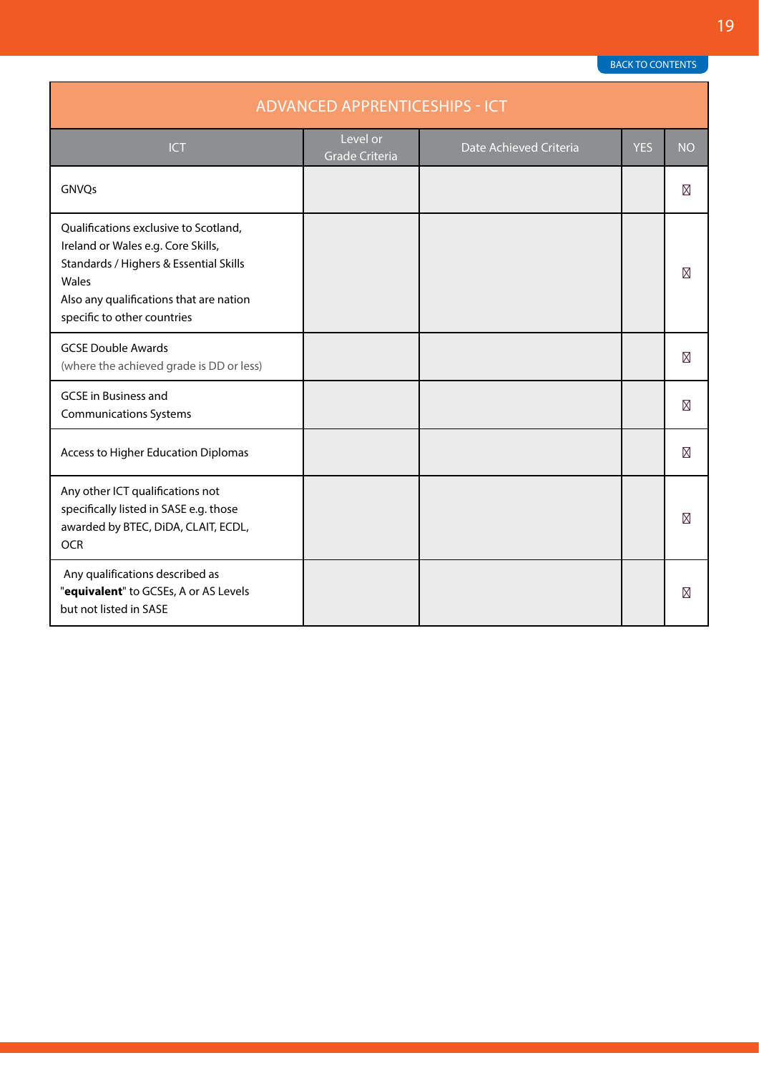| <b>ADVANCED APPRENTICESHIPS - ICT</b>                                                                                                                                                                    |                                   |                        |            |           |
|----------------------------------------------------------------------------------------------------------------------------------------------------------------------------------------------------------|-----------------------------------|------------------------|------------|-----------|
| <b>ICT</b>                                                                                                                                                                                               | Level or<br><b>Grade Criteria</b> | Date Achieved Criteria | <b>YES</b> | <b>NO</b> |
| GNVQs                                                                                                                                                                                                    |                                   |                        |            |           |
| Qualifications exclusive to Scotland,<br>Ireland or Wales e.g. Core Skills,<br>Standards / Highers & Essential Skills<br>Wales<br>Also any qualifications that are nation<br>specific to other countries |                                   |                        |            |           |
| <b>GCSE Double Awards</b><br>(where the achieved grade is DD or less)                                                                                                                                    |                                   |                        |            |           |
| <b>GCSE</b> in Business and<br><b>Communications Systems</b>                                                                                                                                             |                                   |                        |            |           |
| Access to Higher Education Diplomas                                                                                                                                                                      |                                   |                        |            |           |
| Any other ICT qualifications not<br>specifically listed in SASE e.g. those<br>awarded by BTEC, DiDA, CLAIT, ECDL,<br><b>OCR</b>                                                                          |                                   |                        |            |           |
| Any qualifications described as<br>"equivalent" to GCSEs, A or AS Levels<br>but not listed in SASE                                                                                                       |                                   |                        |            |           |